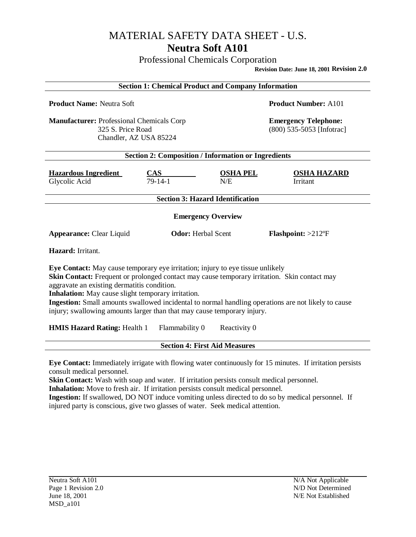Professional Chemicals Corporation

**Revision Date: June 18, 2001 Revision 2.0**

| <b>Section 1: Chemical Product and Company Information</b>                                                                                                                                                                                                                                                                                                                                                                                                                                                                                     |                         |                        |                                                          |
|------------------------------------------------------------------------------------------------------------------------------------------------------------------------------------------------------------------------------------------------------------------------------------------------------------------------------------------------------------------------------------------------------------------------------------------------------------------------------------------------------------------------------------------------|-------------------------|------------------------|----------------------------------------------------------|
| <b>Product Name: Neutra Soft</b>                                                                                                                                                                                                                                                                                                                                                                                                                                                                                                               |                         |                        | <b>Product Number: A101</b>                              |
| <b>Manufacturer: Professional Chemicals Corp</b><br>325 S. Price Road<br>Chandler, AZ USA 85224                                                                                                                                                                                                                                                                                                                                                                                                                                                |                         |                        | <b>Emergency Telephone:</b><br>(800) 535-5053 [Infotrac] |
| <b>Section 2: Composition / Information or Ingredients</b>                                                                                                                                                                                                                                                                                                                                                                                                                                                                                     |                         |                        |                                                          |
| <b>Hazardous Ingredient</b><br>Glycolic Acid                                                                                                                                                                                                                                                                                                                                                                                                                                                                                                   | <b>CAS</b><br>$79-14-1$ | <b>OSHA PEL</b><br>N/E | <b>OSHA HAZARD</b><br>Irritant                           |
| <b>Section 3: Hazard Identification</b>                                                                                                                                                                                                                                                                                                                                                                                                                                                                                                        |                         |                        |                                                          |
| <b>Emergency Overview</b>                                                                                                                                                                                                                                                                                                                                                                                                                                                                                                                      |                         |                        |                                                          |
| <b>Odor:</b> Herbal Scent<br><b>Appearance: Clear Liquid</b>                                                                                                                                                                                                                                                                                                                                                                                                                                                                                   |                         |                        | <b>Flashpoint:</b> $>212^{\circ}F$                       |
| Hazard: Irritant.                                                                                                                                                                                                                                                                                                                                                                                                                                                                                                                              |                         |                        |                                                          |
| Eye Contact: May cause temporary eye irritation; injury to eye tissue unlikely<br>Skin Contact: Frequent or prolonged contact may cause temporary irritation. Skin contact may<br>aggravate an existing dermatitis condition.<br>Inhalation: May cause slight temporary irritation.<br>Ingestion: Small amounts swallowed incidental to normal handling operations are not likely to cause<br>injury; swallowing amounts larger than that may cause temporary injury.<br><b>HMIS Hazard Rating: Health 1</b><br>Flammability 0<br>Reactivity 0 |                         |                        |                                                          |
| <b>Section 4: First Aid Measures</b>                                                                                                                                                                                                                                                                                                                                                                                                                                                                                                           |                         |                        |                                                          |
|                                                                                                                                                                                                                                                                                                                                                                                                                                                                                                                                                |                         |                        |                                                          |

**Eye Contact:** Immediately irrigate with flowing water continuously for 15 minutes. If irritation persists consult medical personnel.

**Skin Contact:** Wash with soap and water. If irritation persists consult medical personnel.

**Inhalation:** Move to fresh air. If irritation persists consult medical personnel.

**Ingestion:** If swallowed, DO NOT induce vomiting unless directed to do so by medical personnel. If injured party is conscious, give two glasses of water. Seek medical attention.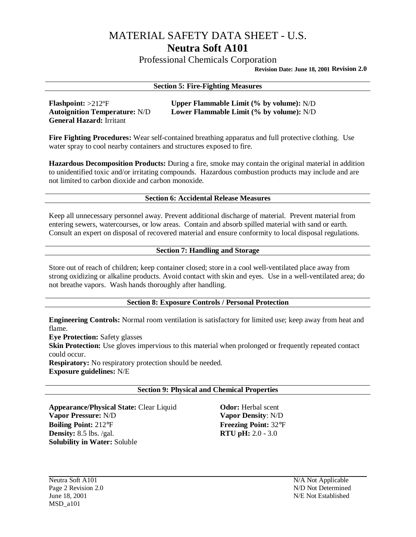Professional Chemicals Corporation

**Revision Date: June 18, 2001 Revision 2.0**

#### **Section 5: Fire-Fighting Measures**

**General Hazard:** Irritant

**Flashpoint:** >212°F **Upper Flammable Limit (% by volume):** N/D<br> **Autoignition Temperature:** N/D **Lower Flammable Limit (% by volume):** N/D Lower Flammable Limit (% by volume): N/D

**Fire Fighting Procedures:** Wear self-contained breathing apparatus and full protective clothing. Use water spray to cool nearby containers and structures exposed to fire.

**Hazardous Decomposition Products:** During a fire, smoke may contain the original material in addition to unidentified toxic and/or irritating compounds. Hazardous combustion products may include and are not limited to carbon dioxide and carbon monoxide.

#### **Section 6: Accidental Release Measures**

Keep all unnecessary personnel away. Prevent additional discharge of material. Prevent material from entering sewers, watercourses, or low areas. Contain and absorb spilled material with sand or earth. Consult an expert on disposal of recovered material and ensure conformity to local disposal regulations.

### **Section 7: Handling and Storage**

Store out of reach of children; keep container closed; store in a cool well-ventilated place away from strong oxidizing or alkaline products. Avoid contact with skin and eyes. Use in a well-ventilated area; do not breathe vapors. Wash hands thoroughly after handling.

#### **Section 8: Exposure Controls / Personal Protection**

**Engineering Controls:** Normal room ventilation is satisfactory for limited use; keep away from heat and flame.

**Eye Protection:** Safety glasses **Skin Protection:** Use gloves impervious to this material when prolonged or frequently repeated contact could occur. **Respiratory:** No respiratory protection should be needed.

**Exposure guidelines:** N/E

#### **Section 9: Physical and Chemical Properties**

**Appearance/Physical State:** Clear Liquid **Odor:** Herbal scent **Vapor Pressure:** N/D **Vapor Density**: N/D **Boiling Point:** 212°F **Freezing Point:** 32°F **Pensity:** 8.5 lbs. /gal. **RTU pH:** 2.0 - 3.0 **Density:** 8.5 lbs. /gal. **Solubility in Water:** Soluble

Neutra Soft A101 N/A Not Applicable Page 2 Revision 2.0 N/D Not Determined June 18, 2001 N/E Not Established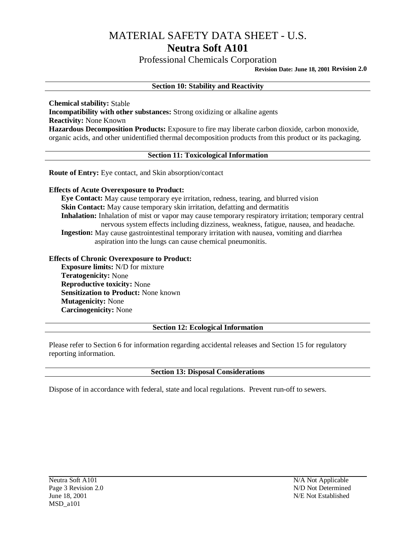Professional Chemicals Corporation

**Revision Date: June 18, 2001 Revision 2.0**

#### **Section 10: Stability and Reactivity**

**Chemical stability:** Stable **Incompatibility with other substances:** Strong oxidizing or alkaline agents **Reactivity:** None Known **Hazardous Decomposition Products:** Exposure to fire may liberate carbon dioxide, carbon monoxide, organic acids, and other unidentified thermal decomposition products from this product or its packaging.

#### **Section 11: Toxicological Information**

**Route of Entry:** Eye contact, and Skin absorption/contact

#### **Effects of Acute Overexposure to Product:**

**Eye Contact:** May cause temporary eye irritation, redness, tearing, and blurred vision **Skin Contact:** May cause temporary skin irritation, defatting and dermatitis **Inhalation:** Inhalation of mist or vapor may cause temporary respiratory irritation; temporary central nervous system effects including dizziness, weakness, fatigue, nausea, and headache. **Ingestion:** May cause gastrointestinal temporary irritation with nausea, vomiting and diarrhea aspiration into the lungs can cause chemical pneumonitis.

#### **Effects of Chronic Overexposure to Product:**

**Exposure limits:** N/D for mixture **Teratogenicity:** None **Reproductive toxicity:** None **Sensitization to Product:** None known **Mutagenicity:** None **Carcinogenicity:** None

#### **Section 12: Ecological Information**

Please refer to Section 6 for information regarding accidental releases and Section 15 for regulatory reporting information.

#### **Section 13: Disposal Considerations**

Dispose of in accordance with federal, state and local regulations. Prevent run-off to sewers.